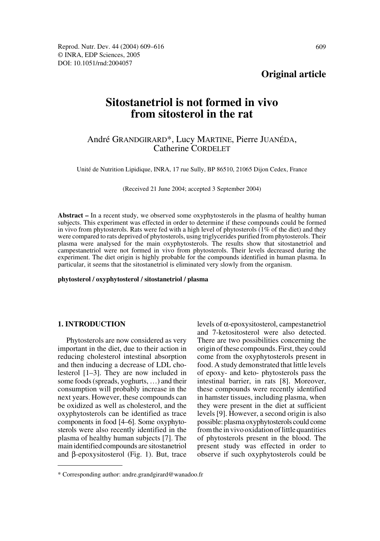# **Original article**

# **Sitostanetriol is not formed in vivo from sitosterol in the rat**

# André GRANDGIRARD\*, Lucy MARTINE, Pierre JUANÉDA, Catherine CORDELET

Unité de Nutrition Lipidique, INRA, 17 rue Sully, BP 86510, 21065 Dijon Cedex, France

(Received 21 June 2004; accepted 3 September 2004)

**Abstract –** In a recent study, we observed some oxyphytosterols in the plasma of healthy human subjects. This experiment was effected in order to determine if these compounds could be formed in vivo from phytosterols. Rats were fed with a high level of phytosterols (1% of the diet) and they were compared to rats deprived of phytosterols, using triglycerides purified from phytosterols. Their plasma were analysed for the main oxyphytosterols. The results show that sitostanetriol and campestanetriol were not formed in vivo from phytosterols. Their levels decreased during the experiment. The diet origin is highly probable for the compounds identified in human plasma. In particular, it seems that the sitostanetriol is eliminated very slowly from the organism.

**phytosterol / oxyphytosterol / sitostanetriol / plasma**

### **1. INTRODUCTION**

Phytosterols are now considered as very important in the diet, due to their action in reducing cholesterol intestinal absorption and then inducing a decrease of LDL cholesterol [1–3]. They are now included in some foods (spreads, yoghurts, …) and their consumption will probably increase in the next years. However, these compounds can be oxidized as well as cholesterol, and the oxyphytosterols can be identified as trace components in food [4–6]. Some oxyphytosterols were also recently identified in the plasma of healthy human subjects [7]. The main identified compounds are sitostanetriol and β-epoxysitosterol (Fig. 1). But, trace levels of α-epoxysitosterol, campestanetriol and 7-ketositosterol were also detected. There are two possibilities concerning the origin of these compounds. First, they could come from the oxyphytosterols present in food. A study demonstrated that little levels of epoxy- and keto- phytosterols pass the intestinal barrier, in rats [8]. Moreover, these compounds were recently identified in hamster tissues, including plasma, when they were present in the diet at sufficient levels [9]. However, a second origin is also possible: plasma oxyphytosterols could come from the in vivo oxidation of little quantities of phytosterols present in the blood. The present study was effected in order to observe if such oxyphytosterols could be

<sup>\*</sup> Corresponding author: andre.grandgirard@wanadoo.fr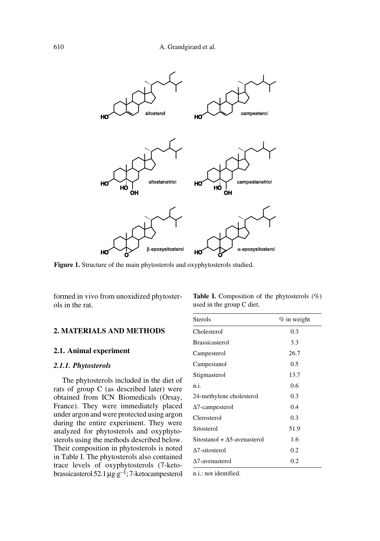

**Figure 1.** Structure of the main phytosterols and oxyphytosterols studied.

formed in vivo from unoxidized phytosterols in the rat.

# **2. MATERIALS AND METHODS**

# **2.1. Animal experiment**

### *2.1.1. Phytosterols*

The phytosterols included in the diet of rats of group C (as described later) were obtained from ICN Biomedicals (Orsay, France). They were immediately placed under argon and were protected using argon during the entire experiment. They were analyzed for phytosterols and oxyphytosterols using the methods described below. Their composition in phytosterols is noted in Table I. The phytosterols also contained trace levels of oxyphytosterols (7-ketobrassicasterol 52.1  $\mu$ g·g<sup>-1</sup>; 7-ketocampesterol

| <b>Table I.</b> Composition of the phytosterols $(\%)$ |  |  |
|--------------------------------------------------------|--|--|
| used in the group C diet.                              |  |  |

| <b>Sterols</b>                      | $%$ in weight |
|-------------------------------------|---------------|
| Cholesterol                         | 0.3           |
| <b>Brassicasterol</b>               | 3.3           |
| Campesterol                         | 26.7          |
| Campestanol                         | 0.5           |
| Stigmasterol                        | 13.7          |
| n.i.                                | 0.6           |
| 24-methylene cholesterol            | 0.3           |
| $\Delta$ 7-campesterol              | 0.4           |
| Clerosterol                         | 0.3           |
| Sitosterol                          | 51.9          |
| Sitostanol + $\Delta$ 5-avenasterol | 1.6           |
| $\Delta$ 7-sitosterol               | 0.2           |
| $\Delta$ 7-avenasterol              | 0.2           |

n.i.: not identified.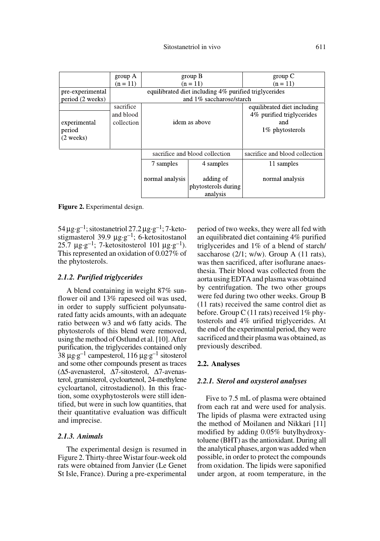|                                     | group A                                               | group B                        |                                              | group C                                                                             |  |
|-------------------------------------|-------------------------------------------------------|--------------------------------|----------------------------------------------|-------------------------------------------------------------------------------------|--|
|                                     | $(n = 11)$                                            | $(n = 11)$                     |                                              | $(n = 11)$                                                                          |  |
| pre-experimental                    | equilibrated diet including 4% purified triglycerides |                                |                                              |                                                                                     |  |
| period (2 weeks)                    | and 1% saccharose/starch                              |                                |                                              |                                                                                     |  |
| experimental<br>period<br>(2 weeks) | sacrifice<br>and blood<br>collection                  | idem as above                  |                                              | equilibrated diet including<br>4% purified triglycerides<br>and<br>1\% phytosterols |  |
|                                     |                                                       | sacrifice and blood collection |                                              | sacrifice and blood collection                                                      |  |
|                                     |                                                       | 7 samples                      | 4 samples                                    | 11 samples                                                                          |  |
|                                     |                                                       | normal analysis                | adding of<br>phytosterols during<br>analysis | normal analysis                                                                     |  |

**Figure 2.** Experimental design.

 $54 \mu$ g·g<sup>-1</sup>; sitostanetriol 27.2  $\mu$ g·g<sup>-1</sup>; 7-ketostigmasterol 39.9  $\mu$ g·g<sup>-1</sup>; 6-ketositostanol 25.7  $\mu$ g·g<sup>-1</sup>; 7-ketositosterol 101  $\mu$ g·g<sup>-1</sup>). This represented an oxidation of 0.027% of the phytosterols.

#### *2.1.2. Purified triglycerides*

A blend containing in weight 87% sunflower oil and 13% rapeseed oil was used, in order to supply sufficient polyunsaturated fatty acids amounts, with an adequate ratio between w3 and w6 fatty acids. The phytosterols of this blend were removed, using the method of Ostlund et al. [10]. After purification, the triglycerides contained only 38  $\mu$ g·g<sup>-1</sup> campesterol, 116  $\mu$ g·g<sup>-1</sup> sitosterol and some other compounds present as traces (∆5-avenasterol, ∆7-sitosterol, ∆7-avenasterol, gramisterol, cycloartenol, 24-methylene cycloartanol, citrostadienol). In this fraction, some oxyphytosterols were still identified, but were in such low quantities, that their quantitative evaluation was difficult and imprecise.

#### *2.1.3. Animals*

The experimental design is resumed in Figure 2. Thirty-three Wistar four-week old rats were obtained from Janvier (Le Genet St Isle, France). During a pre-experimental

period of two weeks, they were all fed with an equilibrated diet containing 4% purified triglycerides and 1% of a blend of starch/ saccharose  $(2/1; w/w)$ . Group A  $(11$  rats), was then sacrificed, after isoflurane anaesthesia. Their blood was collected from the aorta using EDTA and plasma was obtained by centrifugation. The two other groups were fed during two other weeks. Group B (11 rats) received the same control diet as before. Group C (11 rats) received  $1\%$  phytosterols and 4% urified triglycerides. At the end of the experimental period, they were sacrificed and their plasma was obtained, as previously described.

#### **2.2. Analyses**

#### *2.2.1. Sterol and oxysterol analyses*

Five to 7.5 mL of plasma were obtained from each rat and were used for analysis. The lipids of plasma were extracted using the method of Moilanen and Nikkari [11] modified by adding 0.05% butylhydroxytoluene (BHT) as the antioxidant. During all the analytical phases, argon was added when possible, in order to protect the compounds from oxidation. The lipids were saponified under argon, at room temperature, in the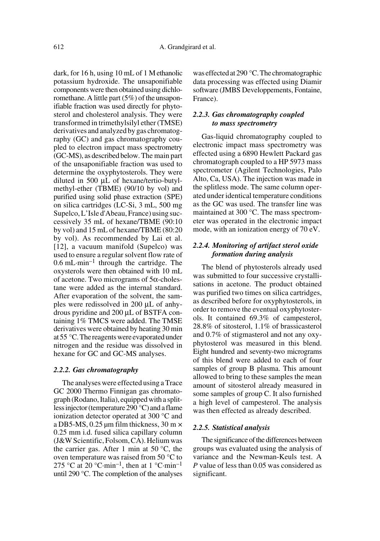dark, for 16 h, using 10 mL of 1 M ethanolic potassium hydroxide. The unsaponifiable components were then obtained using dichloromethane. A little part (5%) of the unsaponifiable fraction was used directly for phytosterol and cholesterol analysis. They were transformed in trimethylsilyl ether (TMSE) derivatives and analyzed by gas chromatography (GC) and gas chromatography coupled to electron impact mass spectrometry (GC-MS), as described below. The main part of the unsaponifiable fraction was used to determine the oxyphytosterols. They were diluted in 500 µL of hexane/tertio-butylmethyl-ether (TBME) (90/10 by vol) and purified using solid phase extraction (SPE) on silica cartridges (LC-Si, 3 mL, 500 mg Supelco, L'Isle d'Abeau, France) using successively 35 mL of hexane/TBME (90:10 by vol) and 15 mL of hexane/TBME (80:20 by vol). As recommended by Lai et al. [12], a vacuum manifold (Supelco) was used to ensure a regular solvent flow rate of  $0.6$  mL $\cdot$ min<sup>-1</sup> through the cartridge. The oxysterols were then obtained with 10 mL of acetone. Two micrograms of 5α-cholestane were added as the internal standard. After evaporation of the solvent, the samples were redissolved in 200 µL of anhydrous pyridine and 200 µL of BSTFA containing 1% TMCS were added. The TMSE derivatives were obtained by heating 30 min at 55 °C. The reagents were evaporated under nitrogen and the residue was dissolved in hexane for GC and GC-MS analyses.

#### *2.2.2. Gas chromatography*

The analyses were effected using a Trace GC 2000 Thermo Finnigan gas chromatograph (Rodano, Italia), equipped with a splitless injector (temperature 290 °C) and a flame ionization detector operated at 300 °C and a DB5-MS, 0.25  $\mu$ m film thickness, 30 m  $\times$ 0.25 mm i.d. fused silica capillary column (J&W Scientific, Folsom, CA). Helium was the carrier gas. After 1 min at  $50^{\circ}$ C, the oven temperature was raised from 50 °C to 275 °C at 20 °C·min<sup>-1</sup>, then at 1 °C·min<sup>-1</sup> until 290 °C. The completion of the analyses was effected at 290 °C. The chromatographic data processing was effected using Diamir software (JMBS Developpements, Fontaine, France).

## *2.2.3. Gas chromatography coupled to mass spectrometry*

Gas-liquid chromatography coupled to electronic impact mass spectrometry was effected using a 6890 Hewlett Packard gas chromatograph coupled to a HP 5973 mass spectrometer (Agilent Technologies, Palo Alto, Ca, USA). The injection was made in the splitless mode. The same column operated under identical temperature conditions as the GC was used. The transfer line was maintained at 300 °C. The mass spectrometer was operated in the electronic impact mode, with an ionization energy of 70 eV.

# *2.2.4. Monitoring of artifact sterol oxide formation during analysis*

The blend of phytosterols already used was submitted to four successive crystallisations in acetone. The product obtained was purified two times on silica cartridges, as described before for oxyphytosterols, in order to remove the eventual oxyphytosterols. It contained 69.3% of campesterol, 28.8% of sitosterol, 1.1% of brassicasterol and 0.7% of stigmasterol and not any oxyphytosterol was measured in this blend. Eight hundred and seventy-two micrograms of this blend were added to each of four samples of group B plasma. This amount allowed to bring to these samples the mean amount of sitosterol already measured in some samples of group C. It also furnished a high level of campesterol. The analysis was then effected as already described.

#### *2.2.5. Statistical analysis*

The significance of the differences between groups was evaluated using the analysis of variance and the Newman-Keuls test. A *P* value of less than 0.05 was considered as significant.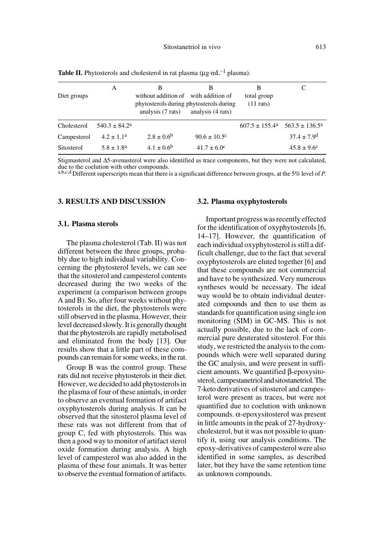| Diet groups | А                        | в<br>without addition of with addition of<br>phytosterols during phytosterols during<br>analysis (7 rats) | в<br>analysis (4 rats)  | В<br>total group<br>$(11$ rats) |                           |
|-------------|--------------------------|-----------------------------------------------------------------------------------------------------------|-------------------------|---------------------------------|---------------------------|
| Cholesterol | $540.3 \pm 84.2^{\circ}$ |                                                                                                           |                         | $607.5 \pm 155.4^{\circ}$       | $563.5 \pm 136.5^{\circ}$ |
| Campesterol | $4.2 \pm 1.1^a$          | $2.8 \pm 0.6^{\rm b}$                                                                                     | $90.6 \pm 10.5^{\circ}$ |                                 | $37.4 \pm 7.9^{\rm d}$    |
| Sitosterol  | $5.8 \pm 1.8^{\circ}$    | $4.1 \pm 0.6^{\rm b}$                                                                                     | $41.7 \pm 6.0^{\circ}$  |                                 | $45.8 \pm 9.6^{\circ}$    |

**Table II.** Phytosterols and cholesterol in rat plasma ( $\mu$ g·mL<sup>-1</sup> plasma).

Stigmasterol and ∆5-avenasterol were also identified as trace components, but they were not calculated, due to the coelution with other compounds.

a,b,c,d Different superscripts mean that there is a significant difference between groups, at the 5% level of *P*.

#### **3. RESULTS AND DISCUSSION**

#### **3.1. Plasma sterols**

The plasma cholesterol (Tab. II) was not different between the three groups, probably due to high individual variability. Concerning the phytosterol levels, we can see that the sitosterol and campesterol contents decreased during the two weeks of the experiment (a comparison between groups A and B). So, after four weeks without phytosterols in the diet, the phytosterols were still observed in the plasma. However, their level decreased slowly. It is generally thought that the phytosterols are rapidly metabolised and eliminated from the body [13]. Our results show that a little part of these compounds can remain for some weeks, in the rat.

Group B was the control group. These rats did not receive phytosterols in their diet. However, we decided to add phytosterols in the plasma of four of these animals, in order to observe an eventual formation of artifact oxyphytosterols during analysis. It can be observed that the sitosterol plasma level of these rats was not different from that of group C, fed with phytosterols. This was then a good way to monitor of artifact sterol oxide formation during analysis. A high level of campesterol was also added in the plasma of these four animals. It was better to observe the eventual formation of artifacts.

#### **3.2. Plasma oxyphytosterols**

Important progress was recently effected for the identification of oxyphytosterols [6, 14–17]. However, the quantification of each individual oxyphytosterol is still a difficult challenge, due to the fact that several oxyphytosterols are eluted together [6] and that these compounds are not commercial and have to be synthesized. Very numerous syntheses would be necessary. The ideal way would be to obtain individual deuterated compounds and then to use them as standards for quantification using single ion monitoring (SIM) in GC-MS. This is not actually possible, due to the lack of commercial pure deuterated sitosterol. For this study, we restricted the analysis to the compounds which were well separated during the GC analysis, and were present in sufficient amounts. We quantified β-epoxysitosterol, campestanetriol and sitostanetriol. The 7-keto derivatives of sitosterol and campesterol were present as traces, but were not quantified due to coelution with unknown compounds. α-epoxysitosterol was present in little amounts in the peak of 27-hydroxycholesterol, but it was not possible to quantify it, using our analysis conditions. The epoxy-derivatives of campesterol were also identified in some samples, as described later, but they have the same retention time as unknown compounds.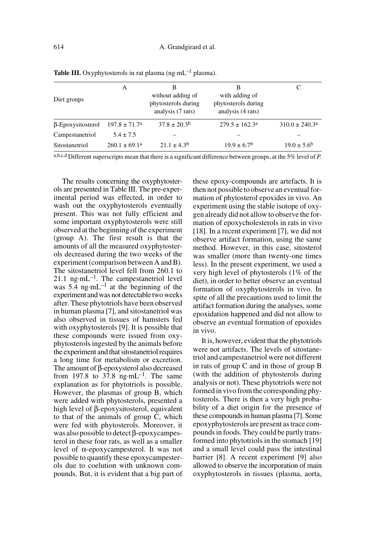| Diet groups              | А                        | в<br>without adding of<br>phytosterols during<br>analysis (7 rats) | В<br>with adding of<br>phytosterols during<br>analysis (4 rats) |                           |
|--------------------------|--------------------------|--------------------------------------------------------------------|-----------------------------------------------------------------|---------------------------|
| $\beta$ -Epoxysitosterol | $197.8 \pm 71.7^{\circ}$ | $37.8 \pm 20.3^{\rm b}$                                            | $279.5 \pm 162.3^{\circ}$                                       | $310.0 \pm 240.3^{\circ}$ |
| Campestanetriol          | $5.4 \pm 7.5$            |                                                                    |                                                                 |                           |
| Sitostanetriol           | $260.1 \pm 69.1^a$       | $21.1 \pm 4.3^{\circ}$                                             | $19.9 \pm 6.7^{\rm b}$                                          | $19.0 \pm 5.6^{\rm b}$    |

**Table III.** Oxyphytosterols in rat plasma ( $ng·mL^{-1}$  plasma).

a,b,c,d Different superscripts mean that there is a significant difference between groups, at the 5% level of *P*.

The results concerning the oxyphytosterols are presented in Table III. The pre-experimental period was effected, in order to wash out the oxyphytosterols eventually present. This was not fully efficient and some important oxyphytosterols were still observed at the beginning of the experiment (group A). The first result is that the amounts of all the measured oxyphytosterols decreased during the two weeks of the experiment (comparison between A and B). The sitostanetriol level fell from 260.1 to  $21.1 \text{ ng-m}L^{-1}$ . The campestanetriol level was  $5.4 \text{ ng} \cdot \text{mL}^{-1}$  at the beginning of the experiment and was not detectable two weeks after. These phytotriols have been observed in human plasma [7], and sitostanetriol was also observed in tissues of hamsters fed with oxyphytosterols [9]. It is possible that these compounds were issued from oxyphytosterols ingested by the animals before the experiment and that sitostanetriol requires a long time for metabolism or excretion. The amount of β-epoxysterol also decreased from 197.8 to 37.8 ng·mL<sup>-1</sup>. The same explanation as for phytotriols is possible. However, the plasmas of group B, which were added with phytosterols, presented a high level of β-epoxysitosterol, equivalent to that of the animals of group C, which were fed with phytosterols. Moreover, it was also possible to detect β-epoxycampesterol in these four rats, as well as a smaller level of α-epoxycampesterol. It was not possible to quantify these epoxycampesterols due to coelution with unknown compounds. But, it is evident that a big part of these epoxy-compounds are artefacts. It is then not possible to observe an eventual formation of phytosterol epoxides in vivo. An experiment using the stable isotope of oxygen already did not allow to observe the formation of epoxycholesterols in rats in vivo [18]. In a recent experiment [7], we did not observe artifact formation, using the same method. However, in this case, sitosterol was smaller (more than twenty-one times less). In the present experiment, we used a very high level of phytosterols (1% of the diet), in order to better observe an eventual formation of oxyphytosterols in vivo. In spite of all the precautions used to limit the artifact formation during the analyses, some epoxidation happened and did not allow to observe an eventual formation of epoxides in vivo.

It is, however, evident that the phytotriols were not artifacts. The levels of sitostanetriol and campestanetriol were not different in rats of group C and in those of group B (with the addition of phytosterols during analysis or not). These phytotriols were not formed in vivo from the corresponding phytosterols. There is then a very high probability of a diet origin for the presence of these compounds in human plasma [7]. Some epoxyphytosterols are present as trace compounds in foods. They could be partly transformed into phytotriols in the stomach [19] and a small level could pass the intestinal barrier [8]. A recent experiment [9] also allowed to observe the incorporation of main oxyphytosterols in tissues (plasma, aorta,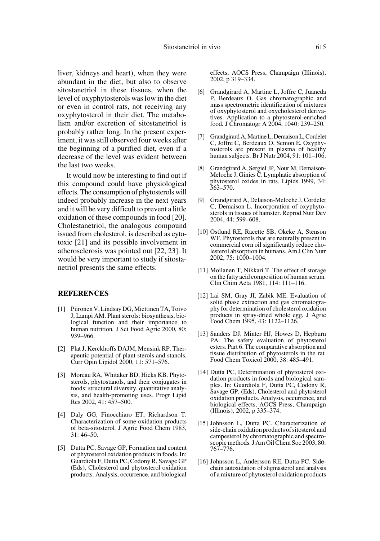liver, kidneys and heart), when they were abundant in the diet, but also to observe sitostanetriol in these tissues, when the level of oxyphytosterols was low in the diet or even in control rats, not receiving any oxyphytosterol in their diet. The metabolism and/or excretion of sitostanetriol is probably rather long. In the present experiment, it was still observed four weeks after the beginning of a purified diet, even if a decrease of the level was evident between the last two weeks.

It would now be interesting to find out if this compound could have physiological effects. The consumption of phytosterols will indeed probably increase in the next years and it will be very difficult to prevent a little oxidation of these compounds in food [20]. Cholestanetriol, the analogous compound issued from cholesterol, is described as cytotoxic [21] and its possible involvement in atherosclerosis was pointed out [22, 23]. It would be very important to study if sitostanetriol presents the same effects.

### **REFERENCES**

- [1] Piironen V, Lindsay DG, Miettinen TA, Toivo J, Lampi AM. Plant sterols: biosynthesis, biological function and their importance to human nutrition*.* J Sci Food Agric 2000, 80: 939–966.
- [2] Plat J, Kerckhoffs DAJM, Mensink RP. Therapeutic potential of plant sterols and stanols*.* Curr Opin Lipidol 2000, 11: 571–576.
- [3] Moreau RA, Whitaker BD, Hicks KB. Phytosterols, phytostanols, and their conjugates in foods: structural diversity, quantitative analysis, and health-promoting uses*.* Progr Lipid Res 2002, 41: 457–500.
- [4] Daly GG, Finocchiaro ET, Richardson T. Characterization of some oxidation products of beta-sitosterol*.* J Agric Food Chem 1983, 31: 46–50.
- [5] Dutta PC, Savage GP, Formation and content of phytosterol oxidation products in foods. In: Guardiola F, Dutta PC, Codony R, Savage GP (Eds), Cholesterol and phytosterol oxidation products. Analysis, occurrence, and biological

effects, AOCS Press, Champaign (Illinois), 2002, p 319–334.

- [6] Grandgirard A, Martine L, Joffre C, Juaneda P, Berdeaux O. Gas chromatographic and mass spectrometric identification of mixtures of oxyphytosterol and oxycholesterol derivatives. Application to a phytosterol-enriched food*.* J Chromatogr A 2004, 1040: 239–250.
- [7] Grandgirard A, Martine L, Demaison L, Cordelet C, Joffre C, Berdeaux O, Semon E. Oxyphytosterols are present in plasma of healthy human subjects*.* Br J Nutr 2004, 91: 101–106.
- [8] Grandgirard A, Sergiel JP, Nour M, Demaison-Meloche J, Ginies C. Lymphatic absorption of phytosterol oxides in rats*.* Lipids 1999, 34: 563–570.
- [9] Grandgirard A, Delaison-Meloche J, Cordelet C, Demaison L. Incorporation of oxyphytosterols in tissues of hamster. Reprod Nutr Dev 2004, 44: 599–608.
- [10] Ostlund RE, Racette SB, Okeke A, Stenson WF. Phytosterols that are naturally present in commercial corn oil significantly reduce cholesterol absorption in humans*.* Am J Clin Nutr 2002, 75: 1000–1004.
- [11] Moilanen T, Nikkari T. The effect of storage on the fatty acid composition of human serum*.* Clin Chim Acta 1981, 114: 111–116.
- [12] Lai SM, Gray JI, Zabik ME. Evaluation of solid phase extraction and gas chromatography for determination of cholesterol oxidation products in spray-dried whole egg*.* J Agric Food Chem 1995, 43: 1122–1126.
- [13] Sanders DJ, Minter HJ, Howes D, Hepburn PA. The safety evaluation of phytosterol esters. Part 6. The comparative absorption and tissue distribution of phytosterols in the rat*.* Food Chem Toxicol 2000, 38: 485–491.
- [14] Dutta PC, Determination of phytosterol oxidation products in foods and biological samples. In: Guardiola F, Dutta PC, Codony R, Savage GP. (Eds), Cholesterol and phytosterol oxidation products. Analysis, occurrence, and biological effects, AOCS Press, Champaign (Illinois), 2002, p 335–374.
- [15] Johnsson L, Dutta PC. Characterization of side-chain oxidation products of sitosterol and campesterol by chromatographic and spectroscopic methods*.* J Am Oil Chem Soc 2003, 80: 767–776.
- [16] Johnsson L, Andersson RE, Dutta PC. Sidechain autoxidation of stigmasterol and analysis of a mixture of phytosterol oxidation products